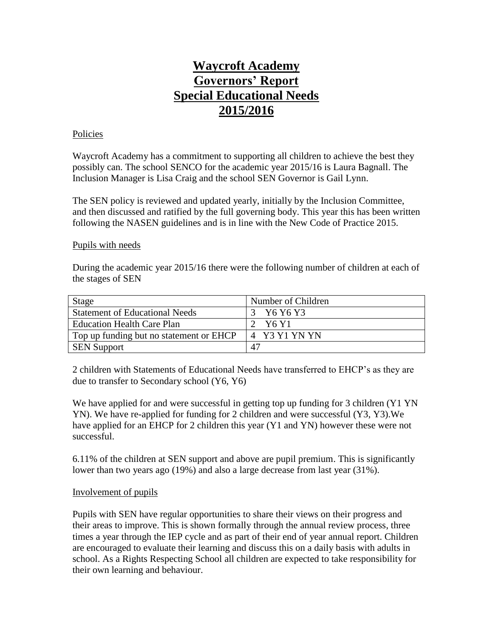# **Waycroft Academy Governors' Report Special Educational Needs 2015/2016**

## Policies

Waycroft Academy has a commitment to supporting all children to achieve the best they possibly can. The school SENCO for the academic year 2015/16 is Laura Bagnall. The Inclusion Manager is Lisa Craig and the school SEN Governor is Gail Lynn.

The SEN policy is reviewed and updated yearly, initially by the Inclusion Committee, and then discussed and ratified by the full governing body. This year this has been written following the NASEN guidelines and is in line with the New Code of Practice 2015.

## Pupils with needs

During the academic year 2015/16 there were the following number of children at each of the stages of SEN

| <b>Stage</b>                            | Number of Children |
|-----------------------------------------|--------------------|
| <b>Statement of Educational Needs</b>   | Y6 Y6 Y3           |
| <b>Education Health Care Plan</b>       | Y6 Y1              |
| Top up funding but no statement or EHCP | 4 Y3 Y1 YN YN      |
| <b>SEN Support</b>                      | 47                 |

2 children with Statements of Educational Needs have transferred to EHCP's as they are due to transfer to Secondary school (Y6, Y6)

We have applied for and were successful in getting top up funding for 3 children (Y1 YN) YN). We have re-applied for funding for 2 children and were successful (Y3, Y3).We have applied for an EHCP for 2 children this year (Y1 and YN) however these were not successful.

6.11% of the children at SEN support and above are pupil premium. This is significantly lower than two years ago (19%) and also a large decrease from last year (31%).

## Involvement of pupils

Pupils with SEN have regular opportunities to share their views on their progress and their areas to improve. This is shown formally through the annual review process, three times a year through the IEP cycle and as part of their end of year annual report. Children are encouraged to evaluate their learning and discuss this on a daily basis with adults in school. As a Rights Respecting School all children are expected to take responsibility for their own learning and behaviour.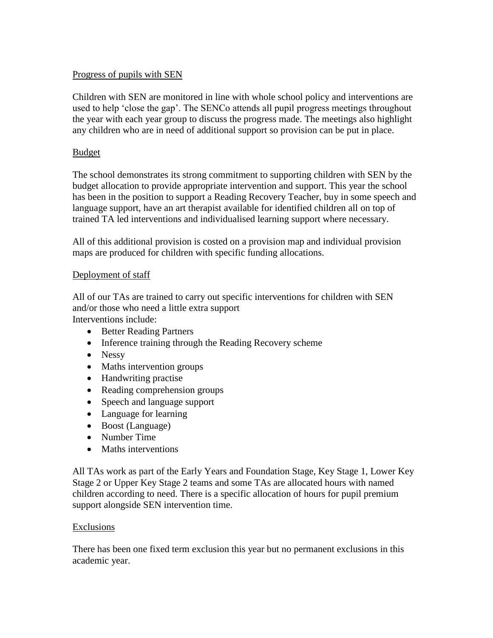# Progress of pupils with SEN

Children with SEN are monitored in line with whole school policy and interventions are used to help 'close the gap'. The SENCo attends all pupil progress meetings throughout the year with each year group to discuss the progress made. The meetings also highlight any children who are in need of additional support so provision can be put in place.

# Budget

The school demonstrates its strong commitment to supporting children with SEN by the budget allocation to provide appropriate intervention and support. This year the school has been in the position to support a Reading Recovery Teacher, buy in some speech and language support, have an art therapist available for identified children all on top of trained TA led interventions and individualised learning support where necessary.

All of this additional provision is costed on a provision map and individual provision maps are produced for children with specific funding allocations.

# Deployment of staff

All of our TAs are trained to carry out specific interventions for children with SEN and/or those who need a little extra support

Interventions include:

- Better Reading Partners
- Inference training through the Reading Recovery scheme
- Nessy
- Maths intervention groups
- Handwriting practise
- Reading comprehension groups
- Speech and language support
- Language for learning
- Boost (Language)
- Number Time
- Maths interventions

All TAs work as part of the Early Years and Foundation Stage, Key Stage 1, Lower Key Stage 2 or Upper Key Stage 2 teams and some TAs are allocated hours with named children according to need. There is a specific allocation of hours for pupil premium support alongside SEN intervention time.

## Exclusions

There has been one fixed term exclusion this year but no permanent exclusions in this academic year.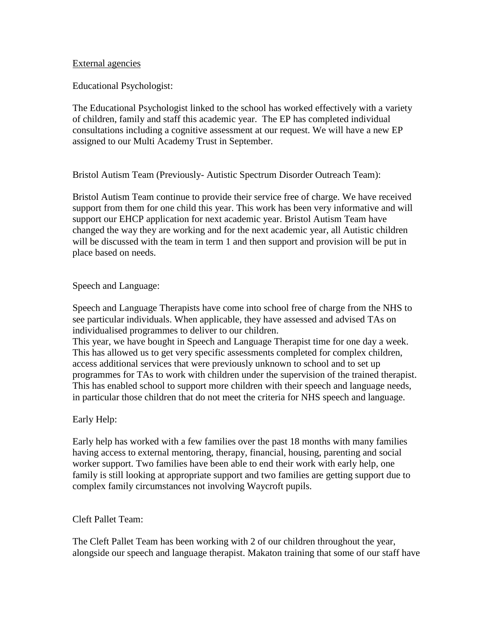#### External agencies

Educational Psychologist:

The Educational Psychologist linked to the school has worked effectively with a variety of children, family and staff this academic year. The EP has completed individual consultations including a cognitive assessment at our request. We will have a new EP assigned to our Multi Academy Trust in September.

Bristol Autism Team (Previously- Autistic Spectrum Disorder Outreach Team):

Bristol Autism Team continue to provide their service free of charge. We have received support from them for one child this year. This work has been very informative and will support our EHCP application for next academic year. Bristol Autism Team have changed the way they are working and for the next academic year, all Autistic children will be discussed with the team in term 1 and then support and provision will be put in place based on needs.

# Speech and Language:

Speech and Language Therapists have come into school free of charge from the NHS to see particular individuals. When applicable, they have assessed and advised TAs on individualised programmes to deliver to our children.

This year, we have bought in Speech and Language Therapist time for one day a week. This has allowed us to get very specific assessments completed for complex children, access additional services that were previously unknown to school and to set up programmes for TAs to work with children under the supervision of the trained therapist. This has enabled school to support more children with their speech and language needs, in particular those children that do not meet the criteria for NHS speech and language.

## Early Help:

Early help has worked with a few families over the past 18 months with many families having access to external mentoring, therapy, financial, housing, parenting and social worker support. Two families have been able to end their work with early help, one family is still looking at appropriate support and two families are getting support due to complex family circumstances not involving Waycroft pupils.

## Cleft Pallet Team:

The Cleft Pallet Team has been working with 2 of our children throughout the year, alongside our speech and language therapist. Makaton training that some of our staff have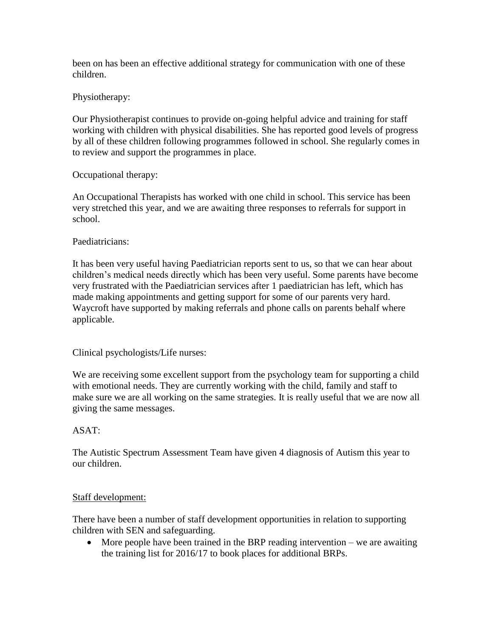been on has been an effective additional strategy for communication with one of these children.

Physiotherapy:

Our Physiotherapist continues to provide on-going helpful advice and training for staff working with children with physical disabilities. She has reported good levels of progress by all of these children following programmes followed in school. She regularly comes in to review and support the programmes in place.

Occupational therapy:

An Occupational Therapists has worked with one child in school. This service has been very stretched this year, and we are awaiting three responses to referrals for support in school.

# Paediatricians:

It has been very useful having Paediatrician reports sent to us, so that we can hear about children's medical needs directly which has been very useful. Some parents have become very frustrated with the Paediatrician services after 1 paediatrician has left, which has made making appointments and getting support for some of our parents very hard. Waycroft have supported by making referrals and phone calls on parents behalf where applicable.

Clinical psychologists/Life nurses:

We are receiving some excellent support from the psychology team for supporting a child with emotional needs. They are currently working with the child, family and staff to make sure we are all working on the same strategies. It is really useful that we are now all giving the same messages.

# ASAT:

The Autistic Spectrum Assessment Team have given 4 diagnosis of Autism this year to our children.

## Staff development:

There have been a number of staff development opportunities in relation to supporting children with SEN and safeguarding.

 $\bullet$  More people have been trained in the BRP reading intervention – we are awaiting the training list for 2016/17 to book places for additional BRPs.